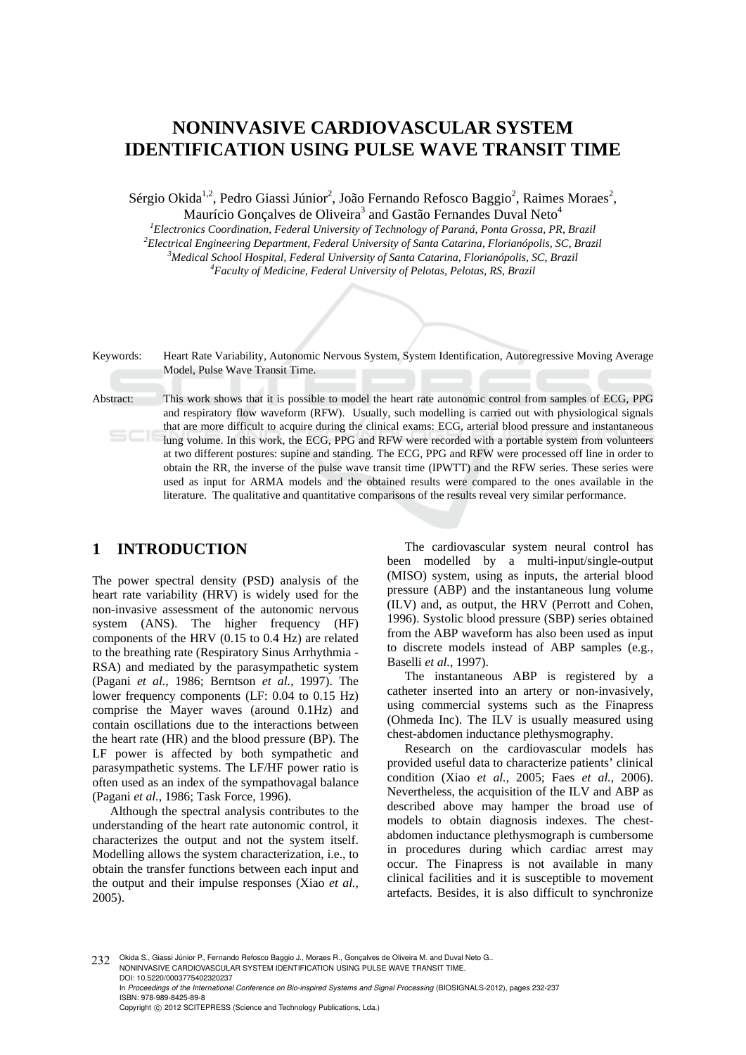# **NONINVASIVE CARDIOVASCULAR SYSTEM IDENTIFICATION USING PULSE WAVE TRANSIT TIME**

Sérgio Okida<sup>1,2</sup>, Pedro Giassi Júnior<sup>2</sup>, João Fernando Refosco Baggio<sup>2</sup>, Raimes Moraes<sup>2</sup>, Maurício Gonçalves de Oliveira<sup>3</sup> and Gastão Fernandes Duval Neto<sup>4</sup>

<sup>1</sup> Electronics Coordination, Federal University of Technology of Paraná, Ponta Grossa, PR, Brazil<br><sup>2</sup> Electrical Engineering Denartment, Endeand University of Santa Cetaring, Electronánolis, SC, Parai *Electrical Engineering Department, Federal University of Santa Catarina, Florianópolis, SC, Brazil 3 Medical School Hospital, Federal University of Santa Catarina, Florianópolis, SC, Brazil 4 Faculty of Medicine, Federal University of Pelotas, Pelotas, RS, Brazil* 

| Keywords: | Heart Rate Variability, Autonomic Nervous System, System Identification, Autoregressive Moving Average<br>Model, Pulse Wave Transit Time.                                                                                                                                                                                                                                                                                                                                                                                                                                                                                                                                                                                                                                                                                                                                        |
|-----------|----------------------------------------------------------------------------------------------------------------------------------------------------------------------------------------------------------------------------------------------------------------------------------------------------------------------------------------------------------------------------------------------------------------------------------------------------------------------------------------------------------------------------------------------------------------------------------------------------------------------------------------------------------------------------------------------------------------------------------------------------------------------------------------------------------------------------------------------------------------------------------|
| Abstract: | This work shows that it is possible to model the heart rate autonomic control from samples of ECG, PPG<br>and respiratory flow waveform (RFW). Usually, such modelling is carried out with physiological signals<br>that are more difficult to acquire during the clinical exams: ECG, arterial blood pressure and instantaneous<br>lung volume. In this work, the ECG, PPG and RFW were recorded with a portable system from volunteers<br>at two different postures: supine and standing. The ECG, PPG and RFW were processed off line in order to<br>obtain the RR, the inverse of the pulse wave transit time (IPWTT) and the RFW series. These series were<br>used as input for ARMA models and the obtained results were compared to the ones available in the<br>literature. The qualitative and quantitative comparisons of the results reveal very similar performance. |

# **1 INTRODUCTION**

The power spectral density (PSD) analysis of the heart rate variability (HRV) is widely used for the non-invasive assessment of the autonomic nervous system (ANS). The higher frequency (HF) components of the HRV (0.15 to 0.4 Hz) are related to the breathing rate (Respiratory Sinus Arrhythmia - RSA) and mediated by the parasympathetic system (Pagani *et al.*, 1986; Berntson *et al.*, 1997). The lower frequency components (LF: 0.04 to 0.15 Hz) comprise the Mayer waves (around 0.1Hz) and contain oscillations due to the interactions between the heart rate (HR) and the blood pressure (BP). The LF power is affected by both sympathetic and parasympathetic systems. The LF/HF power ratio is often used as an index of the sympathovagal balance (Pagani *et al.*, 1986; Task Force, 1996).

Although the spectral analysis contributes to the understanding of the heart rate autonomic control, it characterizes the output and not the system itself. Modelling allows the system characterization, i.e., to obtain the transfer functions between each input and the output and their impulse responses (Xiao *et al.*, 2005).

The cardiovascular system neural control has been modelled by a multi-input/single-output (MISO) system, using as inputs, the arterial blood pressure (ABP) and the instantaneous lung volume (ILV) and, as output, the HRV (Perrott and Cohen*,*  1996). Systolic blood pressure (SBP) series obtained from the ABP waveform has also been used as input to discrete models instead of ABP samples (e.g., Baselli *et al.*, 1997).

The instantaneous ABP is registered by a catheter inserted into an artery or non-invasively, using commercial systems such as the Finapress (Ohmeda Inc). The ILV is usually measured using chest-abdomen inductance plethysmography.

Research on the cardiovascular models has provided useful data to characterize patients' clinical condition (Xiao *et al.*, 2005; Faes *et al.*, 2006). Nevertheless, the acquisition of the ILV and ABP as described above may hamper the broad use of models to obtain diagnosis indexes. The chestabdomen inductance plethysmograph is cumbersome in procedures during which cardiac arrest may occur. The Finapress is not available in many clinical facilities and it is susceptible to movement artefacts. Besides, it is also difficult to synchronize

232 Okida S., Giassi Júnior P., Fernando Refosco Baggio J., Moraes R., Gonçalves de Oliveira M. and Duval Neto G.. NONINVASIVE CARDIOVASCULAR SYSTEM IDENTIFICATION USING PULSE WAVE TRANSIT TIME. DOI: 10.5220/0003775402320237 In *Proceedings of the International Conference on Bio-inspired Systems and Signal Processing* (BIOSIGNALS-2012), pages 232-237 ISBN: 978-989-8425-89-8 Copyright © 2012 SCITEPRESS (Science and Technology Publications, Lda.)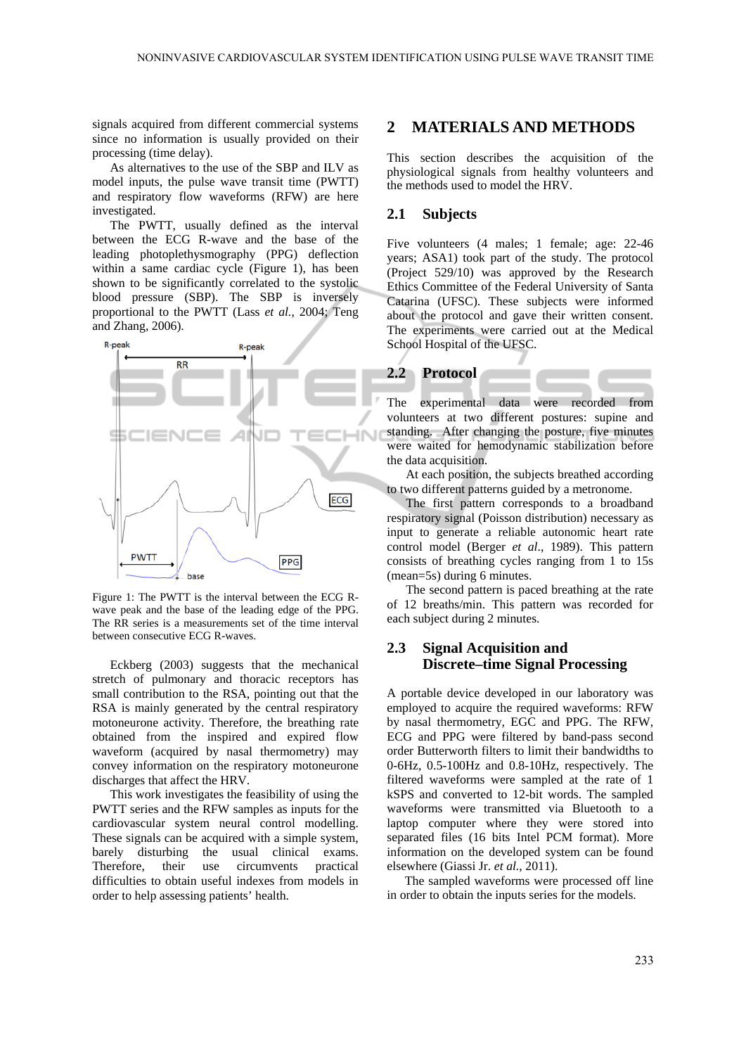signals acquired from different commercial systems since no information is usually provided on their processing (time delay).

As alternatives to the use of the SBP and ILV as model inputs, the pulse wave transit time (PWTT) and respiratory flow waveforms (RFW) are here investigated.

The PWTT, usually defined as the interval between the ECG R-wave and the base of the leading photoplethysmography (PPG) deflection within a same cardiac cycle (Figure 1), has been shown to be significantly correlated to the systolic blood pressure (SBP). The SBP is inversely proportional to the PWTT (Lass *et al.*, 2004; Teng and Zhang, 2006).



Figure 1: The PWTT is the interval between the ECG Rwave peak and the base of the leading edge of the PPG. The RR series is a measurements set of the time interval between consecutive ECG R-waves.

Eckberg (2003) suggests that the mechanical stretch of pulmonary and thoracic receptors has small contribution to the RSA, pointing out that the RSA is mainly generated by the central respiratory motoneurone activity. Therefore, the breathing rate obtained from the inspired and expired flow waveform (acquired by nasal thermometry) may convey information on the respiratory motoneurone discharges that affect the HRV.

This work investigates the feasibility of using the PWTT series and the RFW samples as inputs for the cardiovascular system neural control modelling. These signals can be acquired with a simple system, barely disturbing the usual clinical exams.<br>Therefore, their use circumvents practical Therefore, their use circumvents difficulties to obtain useful indexes from models in order to help assessing patients' health.

## **2 MATERIALS AND METHODS**

This section describes the acquisition of the physiological signals from healthy volunteers and the methods used to model the HRV.

#### **2.1 Subjects**

Five volunteers (4 males; 1 female; age: 22-46 years; ASA1) took part of the study. The protocol (Project 529/10) was approved by the Research Ethics Committee of the Federal University of Santa Catarina (UFSC). These subjects were informed about the protocol and gave their written consent. The experiments were carried out at the Medical School Hospital of the UFSC.



The experimental data were recorded from volunteers at two different postures: supine and standing. After changing the posture, five minutes were waited for hemodynamic stabilization before the data acquisition.

At each position, the subjects breathed according to two different patterns guided by a metronome.

The first pattern corresponds to a broadband respiratory signal (Poisson distribution) necessary as input to generate a reliable autonomic heart rate control model (Berger *et al*., 1989). This pattern consists of breathing cycles ranging from 1 to 15s (mean=5s) during 6 minutes.

The second pattern is paced breathing at the rate of 12 breaths/min. This pattern was recorded for each subject during 2 minutes.

## **2.3 Signal Acquisition and Discrete–time Signal Processing**

A portable device developed in our laboratory was employed to acquire the required waveforms: RFW by nasal thermometry, EGC and PPG. The RFW, ECG and PPG were filtered by band-pass second order Butterworth filters to limit their bandwidths to 0-6Hz, 0.5-100Hz and 0.8-10Hz, respectively. The filtered waveforms were sampled at the rate of 1 kSPS and converted to 12-bit words. The sampled waveforms were transmitted via Bluetooth to a laptop computer where they were stored into separated files (16 bits Intel PCM format). More information on the developed system can be found elsewhere (Giassi Jr. *et al.*, 2011).

The sampled waveforms were processed off line in order to obtain the inputs series for the models.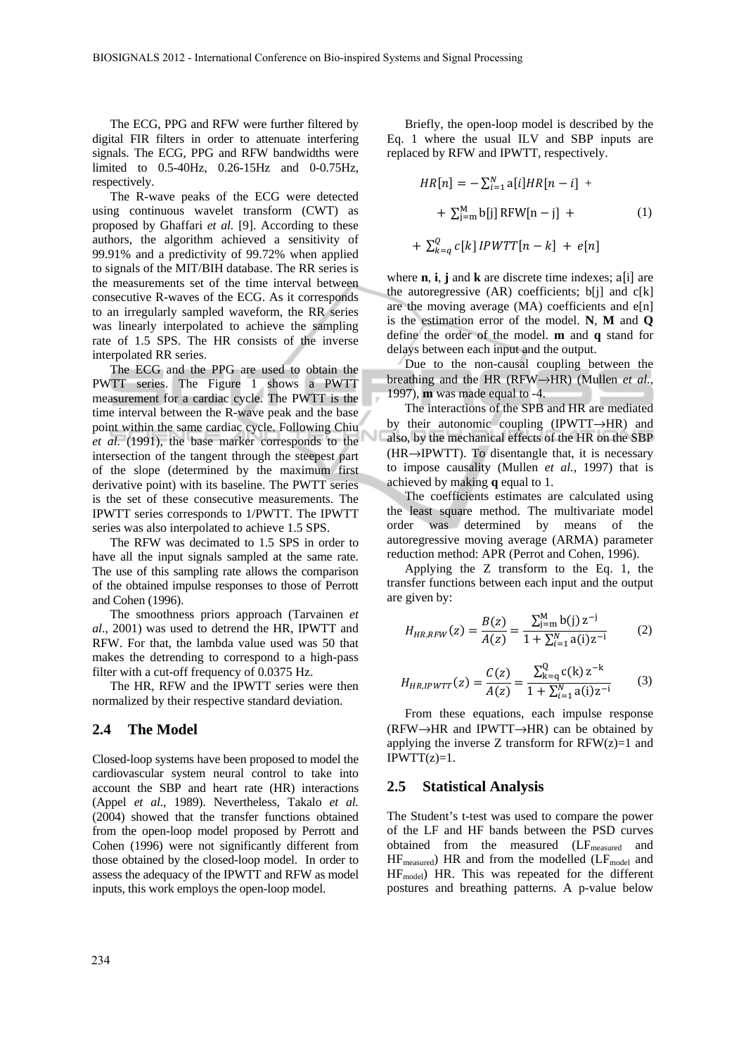The ECG, PPG and RFW were further filtered by digital FIR filters in order to attenuate interfering signals. The ECG, PPG and RFW bandwidths were limited to 0.5-40Hz, 0.26-15Hz and 0-0.75Hz, respectively.

The R-wave peaks of the ECG were detected using continuous wavelet transform (CWT) as proposed by Ghaffari *et al.* [9]. According to these authors, the algorithm achieved a sensitivity of 99.91% and a predictivity of 99.72% when applied to signals of the MIT/BIH database. The RR series is the measurements set of the time interval between consecutive R-waves of the ECG. As it corresponds to an irregularly sampled waveform, the RR series was linearly interpolated to achieve the sampling rate of 1.5 SPS. The HR consists of the inverse interpolated RR series.

The ECG and the PPG are used to obtain the PWTT series. The Figure 1 shows a PWTT measurement for a cardiac cycle. The PWTT is the time interval between the R-wave peak and the base point within the same cardiac cycle. Following Chiu *et al.* (1991), the base marker corresponds to the intersection of the tangent through the steepest part of the slope (determined by the maximum first derivative point) with its baseline. The PWTT series is the set of these consecutive measurements. The IPWTT series corresponds to 1/PWTT. The IPWTT series was also interpolated to achieve 1.5 SPS.

The RFW was decimated to 1.5 SPS in order to have all the input signals sampled at the same rate. The use of this sampling rate allows the comparison of the obtained impulse responses to those of Perrott and Cohen (1996).

The smoothness priors approach (Tarvainen *et al*., 2001) was used to detrend the HR, IPWTT and RFW. For that, the lambda value used was 50 that makes the detrending to correspond to a high-pass filter with a cut-off frequency of 0.0375 Hz.

The HR, RFW and the IPWTT series were then normalized by their respective standard deviation.

#### **2.4 The Model**

Closed-loop systems have been proposed to model the cardiovascular system neural control to take into account the SBP and heart rate (HR) interactions (Appel *et al*., 1989). Nevertheless, Takalo *et al.* (2004) showed that the transfer functions obtained from the open-loop model proposed by Perrott and Cohen (1996) were not significantly different from those obtained by the closed-loop model. In order to assess the adequacy of the IPWTT and RFW as model inputs, this work employs the open-loop model.

Briefly, the open-loop model is described by the Eq. 1 where the usual ILV and SBP inputs are replaced by RFW and IPWTT, respectively.

$$
HR[n] = -\sum_{i=1}^{N} a[i]HR[n-i] +
$$
  
+  $\sum_{j=m}^{M} b[j] RFW[n-j] +$  (1)  
+  $\sum_{k=q}^{Q} c[k] IPWTT[n-k] + e[n]$ 

where **n**, **i**, **j** and **k** are discrete time indexes; a[i] are the autoregressive  $(AR)$  coefficients; b[j] and  $c[k]$ are the moving average  $(MA)$  coefficients and  $e[n]$ is the estimation error of the model. **N**, **M** and **Q** define the order of the model. **m** and **q** stand for delays between each input and the output.

Due to the non-causal coupling between the breathing and the HR (RFW→HR) (Mullen *et al.*, 1997), **m** was made equal to -4.

The interactions of the SPB and HR are mediated by their autonomic coupling (IPWTT→HR) and also, by the mechanical effects of the HR on the SBP  $(HR\rightarrow IPWTT)$ . To disentangle that, it is necessary to impose causality (Mullen *et al.*, 1997) that is achieved by making **q** equal to 1.

The coefficients estimates are calculated using the least square method. The multivariate model order was determined by means of the autoregressive moving average (ARMA) parameter reduction method: APR (Perrot and Cohen, 1996).

Applying the Z transform to the Eq. 1, the transfer functions between each input and the output are given by:

$$
H_{HR,RFW}(z) = \frac{B(z)}{A(z)} = \frac{\sum_{j=m}^{M} b(j) z^{-j}}{1 + \sum_{i=1}^{N} a(i) z^{-i}} \tag{2}
$$

$$
H_{HR,IPWTT}(z) = \frac{C(z)}{A(z)} = \frac{\sum_{k=q}^{Q} c(k) z^{-k}}{1 + \sum_{i=1}^{N} a(i) z^{-i}} \tag{3}
$$

From these equations, each impulse response  $(RFW \rightarrow HR$  and IPWTT $\rightarrow HR$ ) can be obtained by applying the inverse Z transform for  $RFW(z)=1$  and  $IPWTT(z)=1.$ 

#### **2.5 Statistical Analysis**

The Student's t-test was used to compare the power of the LF and HF bands between the PSD curves obtained from the measured (LF<sub>measured</sub> and  $HF_{measured}$ ) HR and from the modelled ( $LF_{model}$  and HFmodel) HR. This was repeated for the different postures and breathing patterns. A p-value below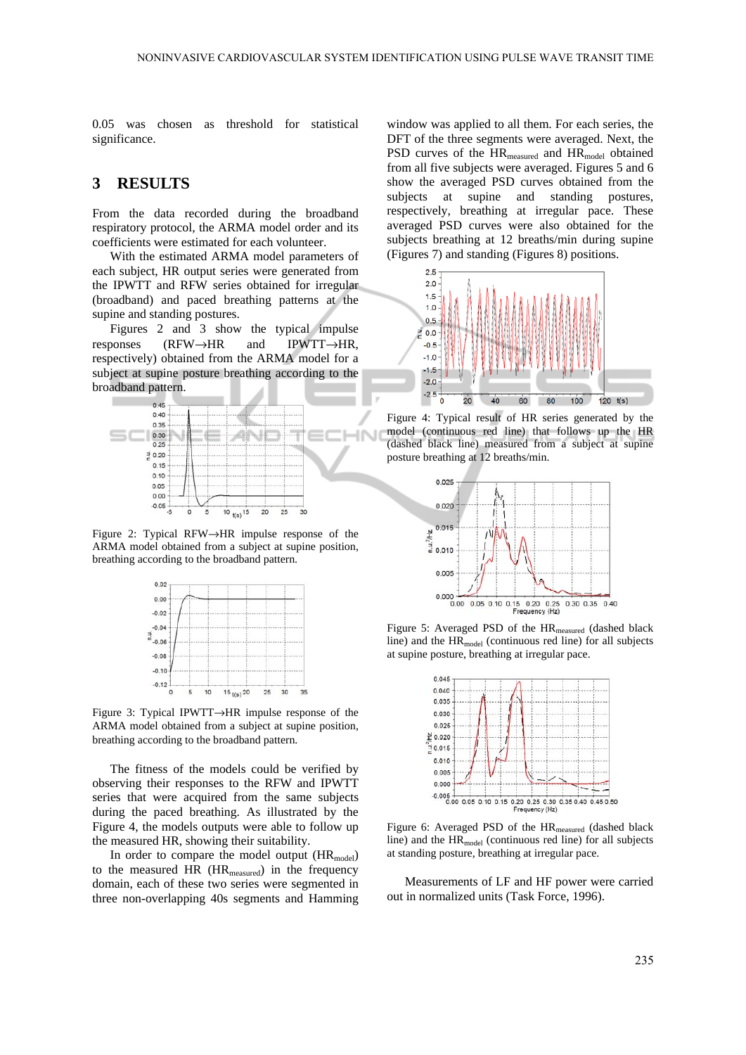0.05 was chosen as threshold for statistical significance.

# **3 RESULTS**

From the data recorded during the broadband respiratory protocol, the ARMA model order and its coefficients were estimated for each volunteer.

With the estimated ARMA model parameters of each subject, HR output series were generated from the IPWTT and RFW series obtained for irregular (broadband) and paced breathing patterns at the supine and standing postures.

Figures 2 and 3 show the typical impulse responses (RFW→HR and IPWTT→HR, respectively) obtained from the ARMA model for a subject at supine posture breathing according to the broadband pattern.



Figure 2: Typical RFW→HR impulse response of the ARMA model obtained from a subject at supine position, breathing according to the broadband pattern.



Figure 3: Typical IPWTT→HR impulse response of the ARMA model obtained from a subject at supine position, breathing according to the broadband pattern.

The fitness of the models could be verified by observing their responses to the RFW and IPWTT series that were acquired from the same subjects during the paced breathing. As illustrated by the Figure 4, the models outputs were able to follow up the measured HR, showing their suitability.

In order to compare the model output (HR<sub>model</sub>) to the measured HR (HR<sub>measured</sub>) in the frequency domain, each of these two series were segmented in three non-overlapping 40s segments and Hamming

window was applied to all them. For each series, the DFT of the three segments were averaged. Next, the PSD curves of the  $HR_{measured}$  and  $HR_{model}$  obtained from all five subjects were averaged. Figures 5 and 6 show the averaged PSD curves obtained from the subjects at supine and standing postures, respectively, breathing at irregular pace. These averaged PSD curves were also obtained for the subjects breathing at 12 breaths/min during supine (Figures 7) and standing (Figures 8) positions.



Figure 4: Typical result of HR series generated by the model (continuous red line) that follows up the HR (dashed black line) measured from a subject at supine posture breathing at 12 breaths/min.



Figure 5: Averaged PSD of the HR<sub>measured</sub> (dashed black line) and the  $HR_{model}$  (continuous red line) for all subjects at supine posture, breathing at irregular pace.



Figure 6: Averaged PSD of the HR<sub>measured</sub> (dashed black line) and the  $HR_{model}$  (continuous red line) for all subjects at standing posture, breathing at irregular pace.

Measurements of LF and HF power were carried out in normalized units (Task Force, 1996).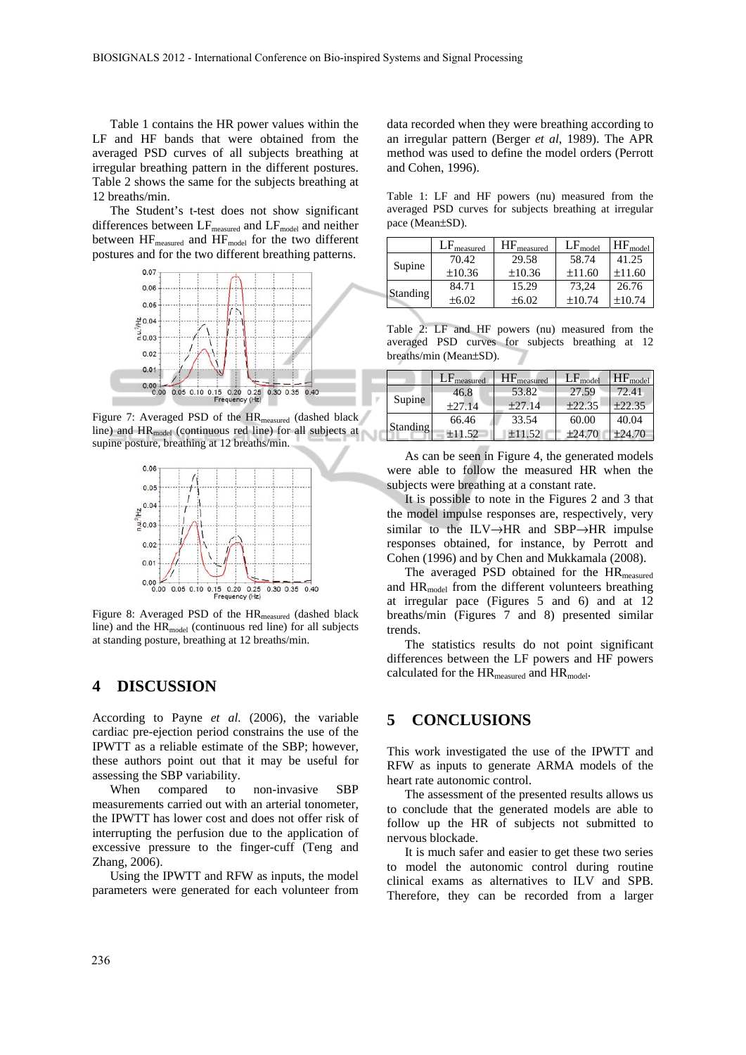Table 1 contains the HR power values within the LF and HF bands that were obtained from the averaged PSD curves of all subjects breathing at irregular breathing pattern in the different postures. Table 2 shows the same for the subjects breathing at 12 breaths/min.

The Student's t-test does not show significant differences between  $LF_{measured}$  and  $LF_{model}$  and neither between HF<sub>measured</sub> and HF<sub>model</sub> for the two different postures and for the two different breathing patterns.



Figure 7: Averaged PSD of the HR<sub>measured</sub> (dashed black line) and HRmodel (continuous red line) for all subjects at supine posture, breathing at 12 breaths/min.



Figure 8: Averaged PSD of the HR<sub>measured</sub> (dashed black line) and the HR<sub>model</sub> (continuous red line) for all subjects at standing posture, breathing at 12 breaths/min.

### **4 DISCUSSION**

According to Payne *et al.* (2006), the variable cardiac pre-ejection period constrains the use of the IPWTT as a reliable estimate of the SBP; however, these authors point out that it may be useful for assessing the SBP variability.

When compared to non-invasive SBP measurements carried out with an arterial tonometer, the IPWTT has lower cost and does not offer risk of interrupting the perfusion due to the application of excessive pressure to the finger-cuff (Teng and Zhang, 2006).

Using the IPWTT and RFW as inputs, the model parameters were generated for each volunteer from data recorded when they were breathing according to an irregular pattern (Berger *et al*, 1989). The APR method was used to define the model orders (Perrott and Cohen, 1996).

Table 1: LF and HF powers (nu) measured from the averaged PSD curves for subjects breathing at irregular pace (Mean±SD).

|          | $LF_{\text{measured}}$ | $HF_{\text{measured}}$ | $LF_{model}$ | $HF_{model}$ |
|----------|------------------------|------------------------|--------------|--------------|
|          | 70.42                  | 29.58                  | 58.74        | 41.25        |
| Supine   | ±10.36                 | ±10.36                 | ±11.60       | ±11.60       |
| Standing | 84.71                  | 15.29                  | 73.24        | 26.76        |
|          | $\pm 6.02$             | $\pm 6.02$             | $\pm 10.74$  | $+10.74$     |

Table 2: LF and HF powers (nu) measured from the averaged PSD curves for subjects breathing at 12 breaths/min (Mean±SD).

|                 | $LF_{measured}$ | $HF_{measured}$ | $LF_{model}$ | $HF_{model}$ |
|-----------------|-----------------|-----------------|--------------|--------------|
|                 | 46.8            | 53.82           | 27.59        | 72.41        |
| Supine          | ±27.14          | ±27.14          | ±22.35       | ±22.35       |
| <b>Standing</b> | 66.46           | 33.54           | 60.00        | 40.04        |
|                 | $+11.52$        | ±11.52          | ±24.70       | $+24.70$     |

As can be seen in Figure 4, the generated models were able to follow the measured HR when the subjects were breathing at a constant rate.

It is possible to note in the Figures 2 and 3 that the model impulse responses are, respectively, very similar to the ILV→HR and SBP→HR impulse responses obtained, for instance, by Perrott and Cohen (1996) and by Chen and Mukkamala (2008).

The averaged PSD obtained for the HR<sub>measured</sub> and  $HR_{model}$  from the different volunteers breathing at irregular pace (Figures 5 and 6) and at 12 breaths/min (Figures 7 and 8) presented similar trends.

The statistics results do not point significant differences between the LF powers and HF powers calculated for the  $HR_{measured}$  and  $HR_{model}$ .

## **5 CONCLUSIONS**

This work investigated the use of the IPWTT and RFW as inputs to generate ARMA models of the heart rate autonomic control.

The assessment of the presented results allows us to conclude that the generated models are able to follow up the HR of subjects not submitted to nervous blockade.

It is much safer and easier to get these two series to model the autonomic control during routine clinical exams as alternatives to ILV and SPB. Therefore, they can be recorded from a larger